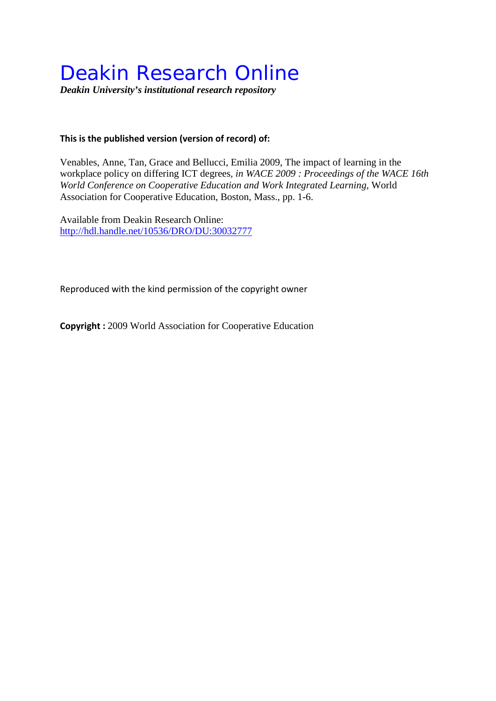# Deakin Research Online

*Deakin University's institutional research repository*

#### **This is the published version (version of record) of:**

Venables, Anne, Tan, Grace and Bellucci, Emilia 2009, The impact of learning in the workplace policy on differing ICT degrees*, in WACE 2009 : Proceedings of the WACE 16th World Conference on Cooperative Education and Work Integrated Learning*, World Association for Cooperative Education, Boston, Mass., pp. 1-6.

Available from Deakin Research Online: <http://hdl.handle.net/10536/DRO/DU:30032777>

Reproduced with the kind permission of the copyright owner

**Copyright :** 2009 World Association for Cooperative Education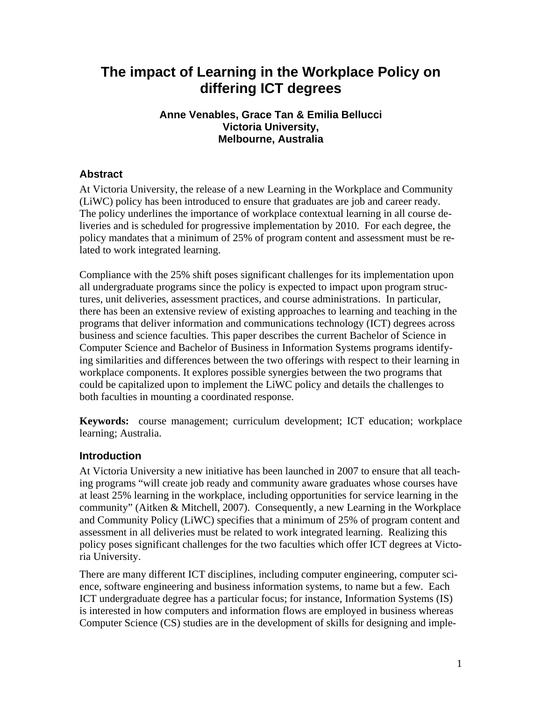# **The impact of Learning in the Workplace Policy on differing ICT degrees**

# **Anne Venables, Grace Tan & Emilia Bellucci Victoria University, Melbourne, Australia**

# **Abstract**

At Victoria University, the release of a new Learning in the Workplace and Community (LiWC) policy has been introduced to ensure that graduates are job and career ready. The policy underlines the importance of workplace contextual learning in all course deliveries and is scheduled for progressive implementation by 2010. For each degree, the policy mandates that a minimum of 25% of program content and assessment must be related to work integrated learning.

Compliance with the 25% shift poses significant challenges for its implementation upon all undergraduate programs since the policy is expected to impact upon program structures, unit deliveries, assessment practices, and course administrations. In particular, there has been an extensive review of existing approaches to learning and teaching in the programs that deliver information and communications technology (ICT) degrees across business and science faculties. This paper describes the current Bachelor of Science in Computer Science and Bachelor of Business in Information Systems programs identifying similarities and differences between the two offerings with respect to their learning in workplace components. It explores possible synergies between the two programs that could be capitalized upon to implement the LiWC policy and details the challenges to both faculties in mounting a coordinated response.

**Keywords:** course management; curriculum development; ICT education; workplace learning; Australia.

# **Introduction**

At Victoria University a new initiative has been launched in 2007 to ensure that all teaching programs "will create job ready and community aware graduates whose courses have at least 25% learning in the workplace, including opportunities for service learning in the community" (Aitken & Mitchell, 2007). Consequently, a new Learning in the Workplace and Community Policy (LiWC) specifies that a minimum of 25% of program content and assessment in all deliveries must be related to work integrated learning. Realizing this policy poses significant challenges for the two faculties which offer ICT degrees at Victoria University.

There are many different ICT disciplines, including computer engineering, computer science, software engineering and business information systems, to name but a few. Each ICT undergraduate degree has a particular focus; for instance, Information Systems (IS) is interested in how computers and information flows are employed in business whereas Computer Science (CS) studies are in the development of skills for designing and imple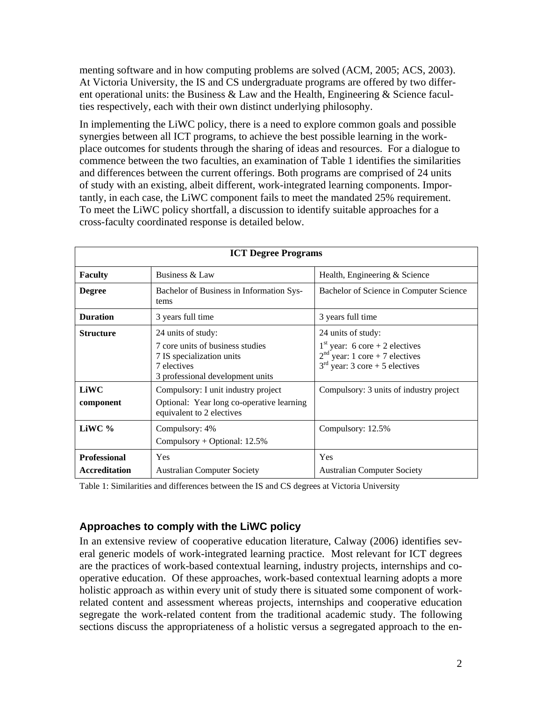menting software and in how computing problems are solved (ACM, 2005; ACS, 2003). At Victoria University, the IS and CS undergraduate programs are offered by two different operational units: the Business & Law and the Health, Engineering & Science faculties respectively, each with their own distinct underlying philosophy.

In implementing the LiWC policy, there is a need to explore common goals and possible synergies between all ICT programs, to achieve the best possible learning in the workplace outcomes for students through the sharing of ideas and resources. For a dialogue to commence between the two faculties, an examination of Table 1 identifies the similarities and differences between the current offerings. Both programs are comprised of 24 units of study with an existing, albeit different, work-integrated learning components. Importantly, in each case, the LiWC component fails to meet the mandated 25% requirement. To meet the LiWC policy shortfall, a discussion to identify suitable approaches for a cross-faculty coordinated response is detailed below.

| <b>ICT Degree Programs</b>                  |                                                                                                                                        |                                                                                                                                |  |
|---------------------------------------------|----------------------------------------------------------------------------------------------------------------------------------------|--------------------------------------------------------------------------------------------------------------------------------|--|
| <b>Faculty</b>                              | Business & Law                                                                                                                         | Health, Engineering & Science                                                                                                  |  |
| <b>Degree</b>                               | Bachelor of Business in Information Sys-<br>tems                                                                                       | Bachelor of Science in Computer Science                                                                                        |  |
| <b>Duration</b>                             | 3 years full time                                                                                                                      | 3 years full time                                                                                                              |  |
| <b>Structure</b>                            | 24 units of study:<br>7 core units of business studies<br>7 IS specialization units<br>7 electives<br>3 professional development units | 24 units of study:<br>$1st$ year: 6 core + 2 electives<br>$2nd$ year: 1 core + 7 electives<br>$3rd$ year: 3 core + 5 electives |  |
| LiWC<br>component                           | Compulsory: I unit industry project<br>Optional: Year long co-operative learning<br>equivalent to 2 electives                          | Compulsory: 3 units of industry project                                                                                        |  |
| LiWC %                                      | Compulsory: 4%<br>Compulsory + Optional: $12.5\%$                                                                                      | Compulsory: 12.5%                                                                                                              |  |
| <b>Professional</b><br><b>Accreditation</b> | Yes<br><b>Australian Computer Society</b>                                                                                              | Yes<br><b>Australian Computer Society</b>                                                                                      |  |

Table 1: Similarities and differences between the IS and CS degrees at Victoria University

# **Approaches to comply with the LiWC policy**

In an extensive review of cooperative education literature, Calway (2006) identifies several generic models of work-integrated learning practice. Most relevant for ICT degrees are the practices of work-based contextual learning, industry projects, internships and cooperative education. Of these approaches, work-based contextual learning adopts a more holistic approach as within every unit of study there is situated some component of workrelated content and assessment whereas projects, internships and cooperative education segregate the work-related content from the traditional academic study. The following sections discuss the appropriateness of a holistic versus a segregated approach to the en-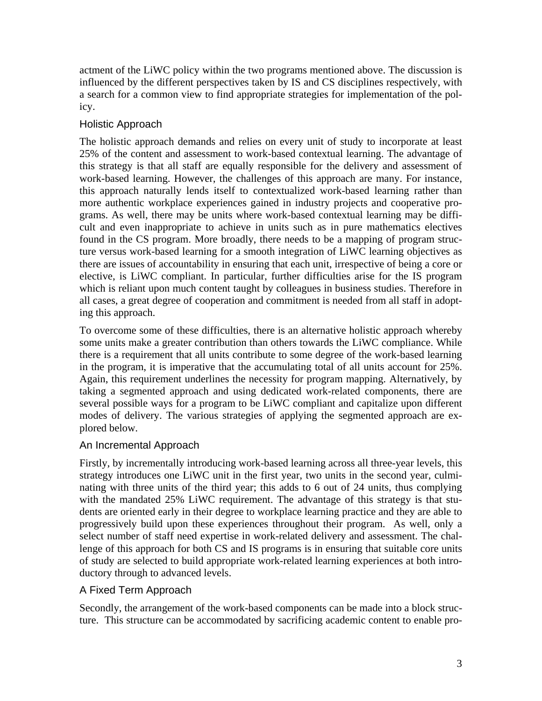actment of the LiWC policy within the two programs mentioned above. The discussion is influenced by the different perspectives taken by IS and CS disciplines respectively, with a search for a common view to find appropriate strategies for implementation of the policy.

# Holistic Approach

The holistic approach demands and relies on every unit of study to incorporate at least 25% of the content and assessment to work-based contextual learning. The advantage of this strategy is that all staff are equally responsible for the delivery and assessment of work-based learning. However, the challenges of this approach are many. For instance, this approach naturally lends itself to contextualized work-based learning rather than more authentic workplace experiences gained in industry projects and cooperative programs. As well, there may be units where work-based contextual learning may be difficult and even inappropriate to achieve in units such as in pure mathematics electives found in the CS program. More broadly, there needs to be a mapping of program structure versus work-based learning for a smooth integration of LiWC learning objectives as there are issues of accountability in ensuring that each unit, irrespective of being a core or elective, is LiWC compliant. In particular, further difficulties arise for the IS program which is reliant upon much content taught by colleagues in business studies. Therefore in all cases, a great degree of cooperation and commitment is needed from all staff in adopting this approach.

To overcome some of these difficulties, there is an alternative holistic approach whereby some units make a greater contribution than others towards the LiWC compliance. While there is a requirement that all units contribute to some degree of the work-based learning in the program, it is imperative that the accumulating total of all units account for 25%. Again, this requirement underlines the necessity for program mapping. Alternatively, by taking a segmented approach and using dedicated work-related components, there are several possible ways for a program to be LiWC compliant and capitalize upon different modes of delivery. The various strategies of applying the segmented approach are explored below.

# An Incremental Approach

Firstly, by incrementally introducing work-based learning across all three-year levels, this strategy introduces one LiWC unit in the first year, two units in the second year, culminating with three units of the third year; this adds to 6 out of 24 units, thus complying with the mandated 25% LiWC requirement. The advantage of this strategy is that students are oriented early in their degree to workplace learning practice and they are able to progressively build upon these experiences throughout their program. As well, only a select number of staff need expertise in work-related delivery and assessment. The challenge of this approach for both CS and IS programs is in ensuring that suitable core units of study are selected to build appropriate work-related learning experiences at both introductory through to advanced levels.

# A Fixed Term Approach

Secondly, the arrangement of the work-based components can be made into a block structure. This structure can be accommodated by sacrificing academic content to enable pro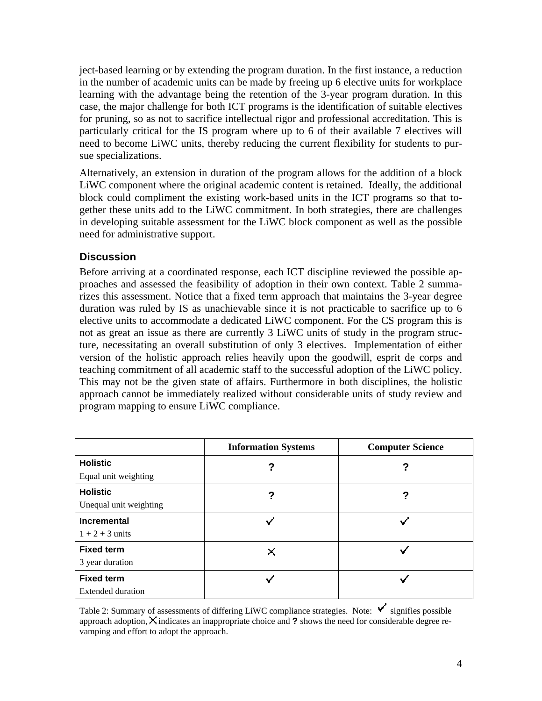ject-based learning or by extending the program duration. In the first instance, a reduction in the number of academic units can be made by freeing up 6 elective units for workplace learning with the advantage being the retention of the 3-year program duration. In this case, the major challenge for both ICT programs is the identification of suitable electives for pruning, so as not to sacrifice intellectual rigor and professional accreditation. This is particularly critical for the IS program where up to 6 of their available 7 electives will need to become LiWC units, thereby reducing the current flexibility for students to pursue specializations.

Alternatively, an extension in duration of the program allows for the addition of a block LiWC component where the original academic content is retained. Ideally, the additional block could compliment the existing work-based units in the ICT programs so that together these units add to the LiWC commitment. In both strategies, there are challenges in developing suitable assessment for the LiWC block component as well as the possible need for administrative support.

# **Discussion**

Before arriving at a coordinated response, each ICT discipline reviewed the possible approaches and assessed the feasibility of adoption in their own context. Table 2 summarizes this assessment. Notice that a fixed term approach that maintains the 3-year degree duration was ruled by IS as unachievable since it is not practicable to sacrifice up to 6 elective units to accommodate a dedicated LiWC component. For the CS program this is not as great an issue as there are currently 3 LiWC units of study in the program structure, necessitating an overall substitution of only 3 electives. Implementation of either version of the holistic approach relies heavily upon the goodwill, esprit de corps and teaching commitment of all academic staff to the successful adoption of the LiWC policy. This may not be the given state of affairs. Furthermore in both disciplines, the holistic approach cannot be immediately realized without considerable units of study review and program mapping to ensure LiWC compliance.

|                        | <b>Information Systems</b> | <b>Computer Science</b> |
|------------------------|----------------------------|-------------------------|
| <b>Holistic</b>        |                            | 7                       |
| Equal unit weighting   |                            |                         |
| <b>Holistic</b>        |                            | 7                       |
| Unequal unit weighting |                            |                         |
| Incremental            |                            |                         |
| $1 + 2 + 3$ units      |                            |                         |
| <b>Fixed term</b>      | ×                          |                         |
| 3 year duration        |                            |                         |
| <b>Fixed term</b>      |                            |                         |
| Extended duration      |                            |                         |

Table 2: Summary of assessments of differing LiWC compliance strategies. Note:  $\checkmark$  signifies possible approach adoption,  $\times$  indicates an inappropriate choice and **?** shows the need for considerable degree revamping and effort to adopt the approach.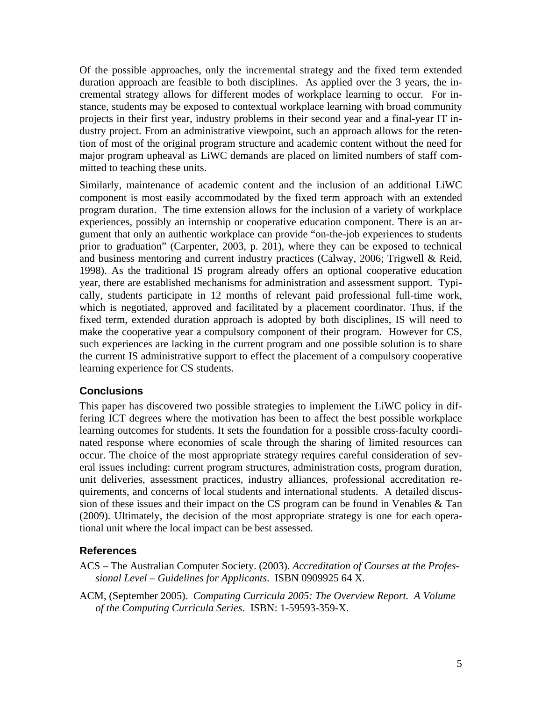Of the possible approaches, only the incremental strategy and the fixed term extended duration approach are feasible to both disciplines. As applied over the 3 years, the incremental strategy allows for different modes of workplace learning to occur. For instance, students may be exposed to contextual workplace learning with broad community projects in their first year, industry problems in their second year and a final-year IT industry project. From an administrative viewpoint, such an approach allows for the retention of most of the original program structure and academic content without the need for major program upheaval as LiWC demands are placed on limited numbers of staff committed to teaching these units.

Similarly, maintenance of academic content and the inclusion of an additional LiWC component is most easily accommodated by the fixed term approach with an extended program duration. The time extension allows for the inclusion of a variety of workplace experiences, possibly an internship or cooperative education component. There is an argument that only an authentic workplace can provide "on-the-job experiences to students prior to graduation" (Carpenter, 2003, p. 201), where they can be exposed to technical and business mentoring and current industry practices (Calway, 2006; Trigwell & Reid, 1998). As the traditional IS program already offers an optional cooperative education year, there are established mechanisms for administration and assessment support. Typically, students participate in 12 months of relevant paid professional full-time work, which is negotiated, approved and facilitated by a placement coordinator. Thus, if the fixed term, extended duration approach is adopted by both disciplines, IS will need to make the cooperative year a compulsory component of their program. However for CS, such experiences are lacking in the current program and one possible solution is to share the current IS administrative support to effect the placement of a compulsory cooperative learning experience for CS students.

# **Conclusions**

This paper has discovered two possible strategies to implement the LiWC policy in differing ICT degrees where the motivation has been to affect the best possible workplace learning outcomes for students. It sets the foundation for a possible cross-faculty coordinated response where economies of scale through the sharing of limited resources can occur. The choice of the most appropriate strategy requires careful consideration of several issues including: current program structures, administration costs, program duration, unit deliveries, assessment practices, industry alliances, professional accreditation requirements, and concerns of local students and international students. A detailed discussion of these issues and their impact on the CS program can be found in Venables  $\&$  Tan (2009). Ultimately, the decision of the most appropriate strategy is one for each operational unit where the local impact can be best assessed.

# **References**

ACS – The Australian Computer Society. (2003). *Accreditation of Courses at the Professional Level – Guidelines for Applicants*. ISBN 0909925 64 X.

ACM, (September 2005). *Computing Curricula 2005: The Overview Report. A Volume of the Computing Curricula Series*. ISBN: 1-59593-359-X.